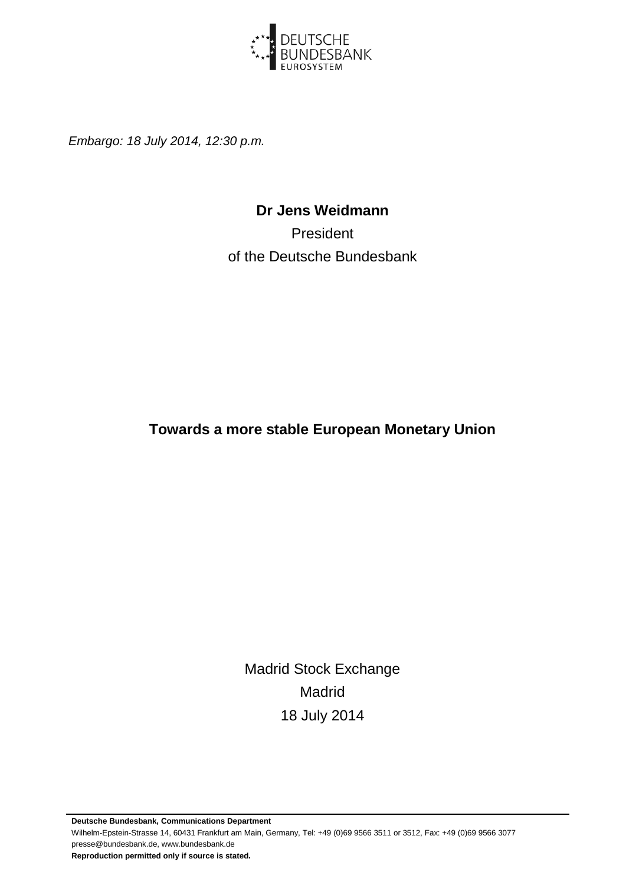

*Embargo: 18 July 2014, 12:30 p.m.*

#### **Dr Jens Weidmann**

President of the Deutsche Bundesbank

**Towards a more stable European Monetary Union**

Madrid Stock Exchange Madrid 18 July 2014

**Deutsche Bundesbank, Communications Department** Wilhelm-Epstein-Strasse 14, 60431 Frankfurt am Main, Germany, Tel: +49 (0)69 9566 3511 or 3512, Fax: +49 (0)69 9566 3077 presse@bundesbank.de, www.bundesbank.de **Reproduction permitted only if source is stated.**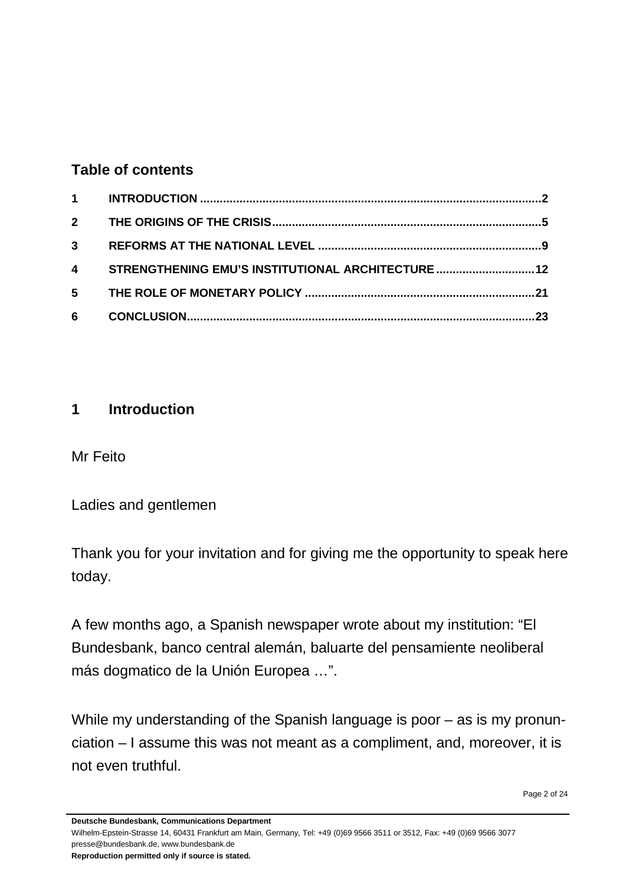#### **Table of contents**

|   | 4 STRENGTHENING EMU'S INSTITUTIONAL ARCHITECTURE  12 |  |
|---|------------------------------------------------------|--|
|   |                                                      |  |
| 6 |                                                      |  |

#### <span id="page-1-0"></span>**1 Introduction**

Mr Feito

Ladies and gentlemen

Thank you for your invitation and for giving me the opportunity to speak here today.

A few months ago, a Spanish newspaper wrote about my institution: "El Bundesbank, banco central alemán, baluarte del pensamiente neoliberal más dogmatico de la Unión Europea …".

While my understanding of the Spanish language is poor – as is my pronunciation – I assume this was not meant as a compliment, and, moreover, it is not even truthful.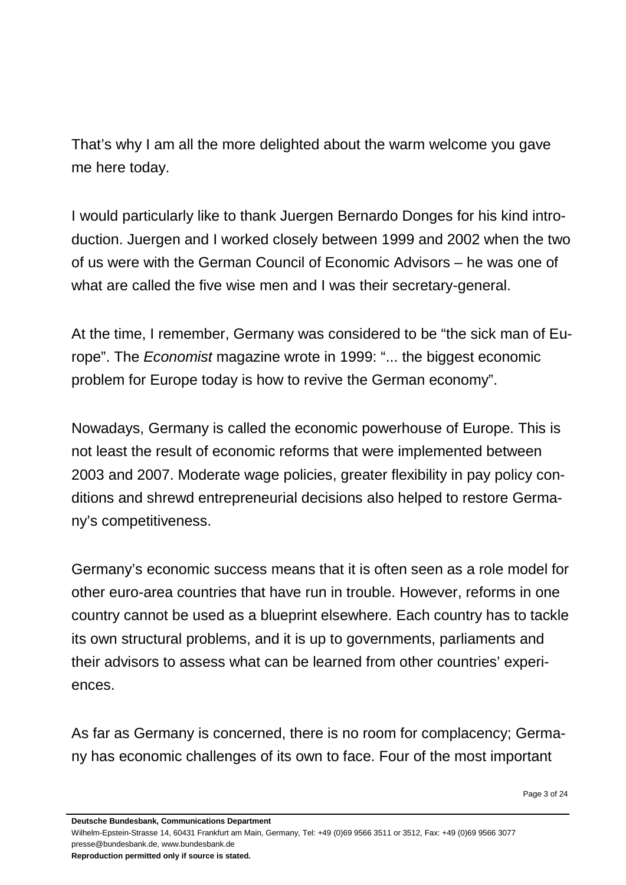That's why I am all the more delighted about the warm welcome you gave me here today.

I would particularly like to thank Juergen Bernardo Donges for his kind introduction. Juergen and I worked closely between 1999 and 2002 when the two of us were with the German Council of Economic Advisors – he was one of what are called the five wise men and I was their secretary-general.

At the time, I remember, Germany was considered to be "the sick man of Europe". The *Economist* magazine wrote in 1999: "... the biggest economic problem for Europe today is how to revive the German economy".

Nowadays, Germany is called the economic powerhouse of Europe. This is not least the result of economic reforms that were implemented between 2003 and 2007. Moderate wage policies, greater flexibility in pay policy conditions and shrewd entrepreneurial decisions also helped to restore Germany's competitiveness.

Germany's economic success means that it is often seen as a role model for other euro-area countries that have run in trouble. However, reforms in one country cannot be used as a blueprint elsewhere. Each country has to tackle its own structural problems, and it is up to governments, parliaments and their advisors to assess what can be learned from other countries' experiences.

As far as Germany is concerned, there is no room for complacency; Germany has economic challenges of its own to face. Four of the most important

**Deutsche Bundesbank, Communications Department**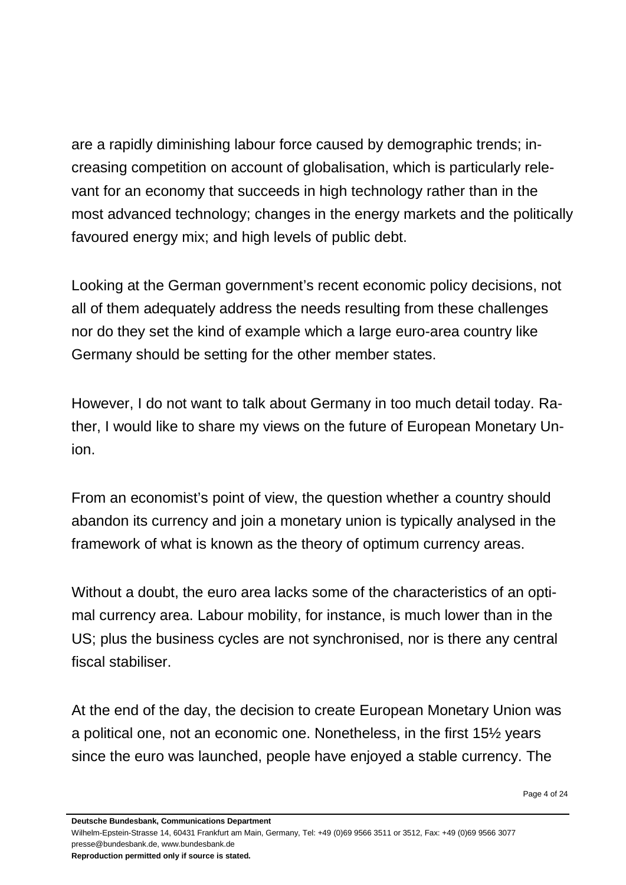are a rapidly diminishing labour force caused by demographic trends; increasing competition on account of globalisation, which is particularly relevant for an economy that succeeds in high technology rather than in the most advanced technology; changes in the energy markets and the politically favoured energy mix; and high levels of public debt.

Looking at the German government's recent economic policy decisions, not all of them adequately address the needs resulting from these challenges nor do they set the kind of example which a large euro-area country like Germany should be setting for the other member states.

However, I do not want to talk about Germany in too much detail today. Rather, I would like to share my views on the future of European Monetary Union.

From an economist's point of view, the question whether a country should abandon its currency and join a monetary union is typically analysed in the framework of what is known as the theory of optimum currency areas.

Without a doubt, the euro area lacks some of the characteristics of an optimal currency area. Labour mobility, for instance, is much lower than in the US; plus the business cycles are not synchronised, nor is there any central fiscal stabiliser.

At the end of the day, the decision to create European Monetary Union was a political one, not an economic one. Nonetheless, in the first 15½ years since the euro was launched, people have enjoyed a stable currency. The

**Deutsche Bundesbank, Communications Department**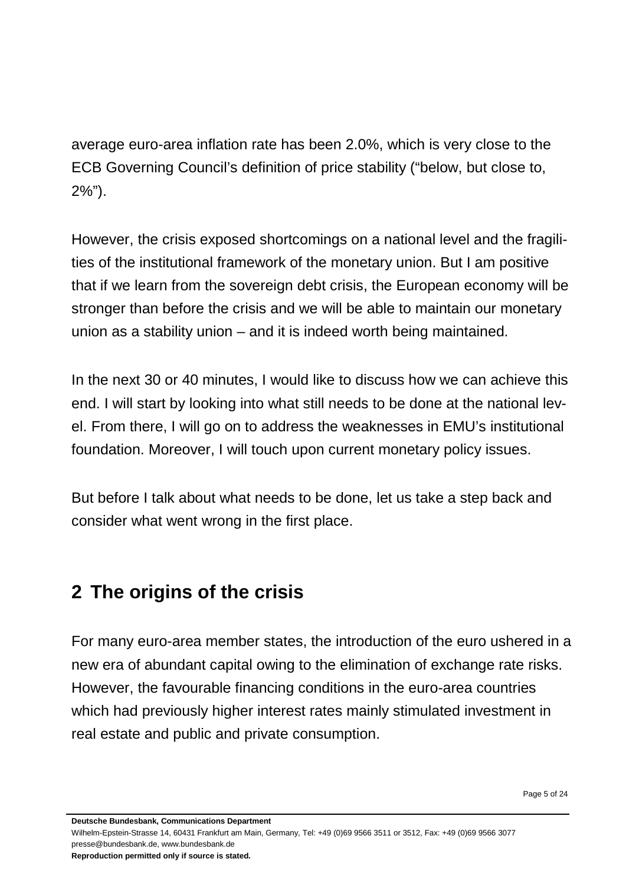average euro-area inflation rate has been 2.0%, which is very close to the ECB Governing Council's definition of price stability ("below, but close to, 2%").

However, the crisis exposed shortcomings on a national level and the fragilities of the institutional framework of the monetary union. But I am positive that if we learn from the sovereign debt crisis, the European economy will be stronger than before the crisis and we will be able to maintain our monetary union as a stability union – and it is indeed worth being maintained.

In the next 30 or 40 minutes, I would like to discuss how we can achieve this end. I will start by looking into what still needs to be done at the national level. From there, I will go on to address the weaknesses in EMU's institutional foundation. Moreover, I will touch upon current monetary policy issues.

<span id="page-4-0"></span>But before I talk about what needs to be done, let us take a step back and consider what went wrong in the first place.

## **2 The origins of the crisis**

For many euro-area member states, the introduction of the euro ushered in a new era of abundant capital owing to the elimination of exchange rate risks. However, the favourable financing conditions in the euro-area countries which had previously higher interest rates mainly stimulated investment in real estate and public and private consumption.

**Deutsche Bundesbank, Communications Department**

Wilhelm-Epstein-Strasse 14, 60431 Frankfurt am Main, Germany, Tel: +49 (0)69 9566 3511 or 3512, Fax: +49 (0)69 9566 3077 presse@bundesbank.de, www.bundesbank.de

**Reproduction permitted only if source is stated.**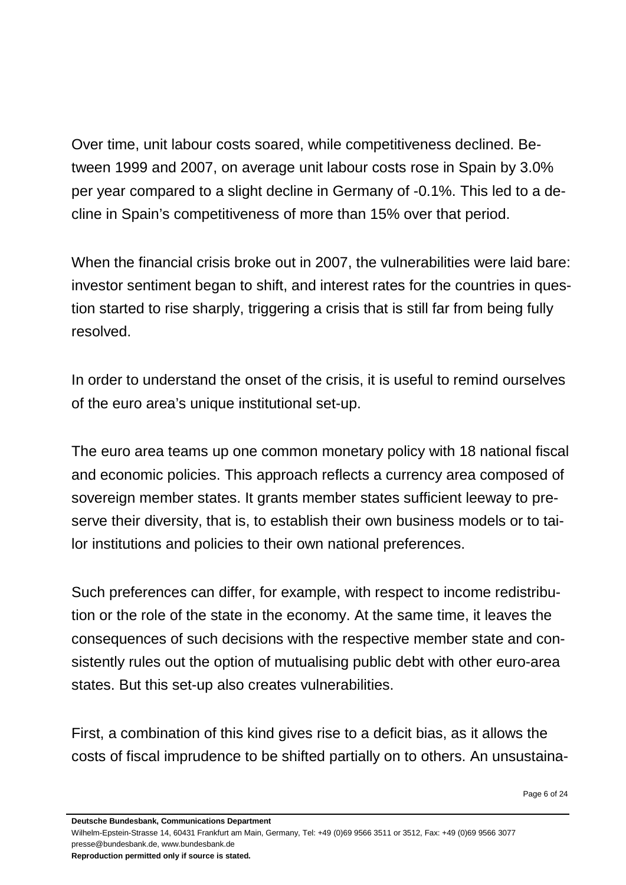Over time, unit labour costs soared, while competitiveness declined. Between 1999 and 2007, on average unit labour costs rose in Spain by 3.0% per year compared to a slight decline in Germany of -0.1%. This led to a decline in Spain's competitiveness of more than 15% over that period.

When the financial crisis broke out in 2007, the vulnerabilities were laid bare: investor sentiment began to shift, and interest rates for the countries in question started to rise sharply, triggering a crisis that is still far from being fully resolved.

In order to understand the onset of the crisis, it is useful to remind ourselves of the euro area's unique institutional set-up.

The euro area teams up one common monetary policy with 18 national fiscal and economic policies. This approach reflects a currency area composed of sovereign member states. It grants member states sufficient leeway to preserve their diversity, that is, to establish their own business models or to tailor institutions and policies to their own national preferences.

Such preferences can differ, for example, with respect to income redistribution or the role of the state in the economy. At the same time, it leaves the consequences of such decisions with the respective member state and consistently rules out the option of mutualising public debt with other euro-area states. But this set-up also creates vulnerabilities.

First, a combination of this kind gives rise to a deficit bias, as it allows the costs of fiscal imprudence to be shifted partially on to others. An unsustaina-

**Deutsche Bundesbank, Communications Department**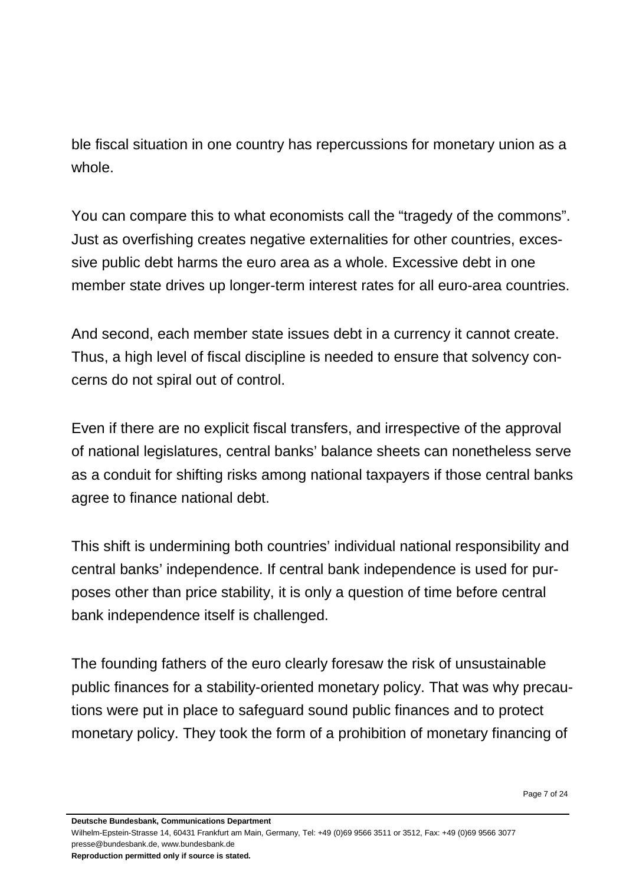ble fiscal situation in one country has repercussions for monetary union as a whole.

You can compare this to what economists call the "tragedy of the commons". Just as overfishing creates negative externalities for other countries, excessive public debt harms the euro area as a whole. Excessive debt in one member state drives up longer-term interest rates for all euro-area countries.

And second, each member state issues debt in a currency it cannot create. Thus, a high level of fiscal discipline is needed to ensure that solvency concerns do not spiral out of control.

Even if there are no explicit fiscal transfers, and irrespective of the approval of national legislatures, central banks' balance sheets can nonetheless serve as a conduit for shifting risks among national taxpayers if those central banks agree to finance national debt.

This shift is undermining both countries' individual national responsibility and central banks' independence. If central bank independence is used for purposes other than price stability, it is only a question of time before central bank independence itself is challenged.

The founding fathers of the euro clearly foresaw the risk of unsustainable public finances for a stability-oriented monetary policy. That was why precautions were put in place to safeguard sound public finances and to protect monetary policy. They took the form of a prohibition of monetary financing of

**Deutsche Bundesbank, Communications Department**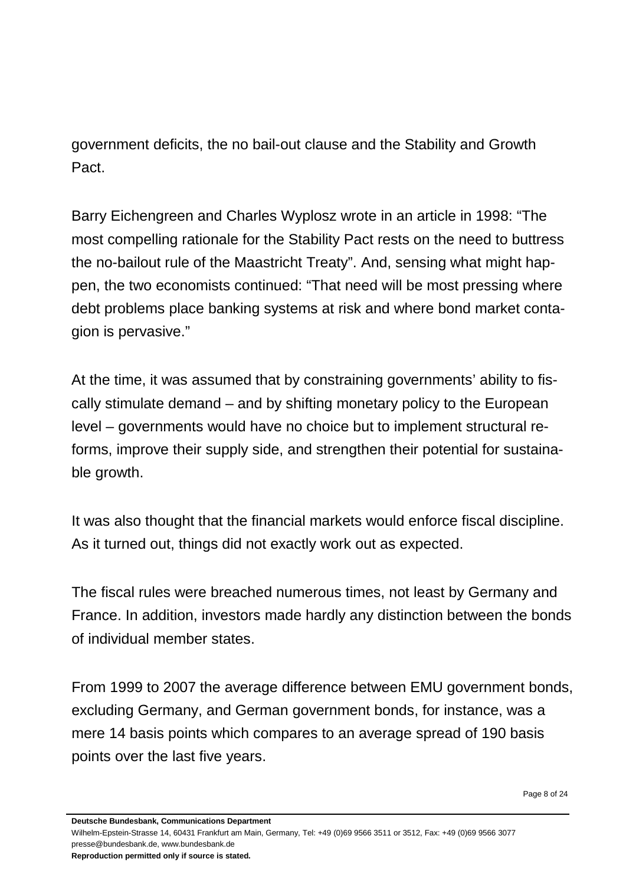government deficits, the no bail-out clause and the Stability and Growth Pact.

Barry Eichengreen and Charles Wyplosz wrote in an article in 1998: "The most compelling rationale for the Stability Pact rests on the need to buttress the no-bailout rule of the Maastricht Treaty". And, sensing what might happen, the two economists continued: "That need will be most pressing where debt problems place banking systems at risk and where bond market contagion is pervasive."

At the time, it was assumed that by constraining governments' ability to fiscally stimulate demand – and by shifting monetary policy to the European level – governments would have no choice but to implement structural reforms, improve their supply side, and strengthen their potential for sustainable growth.

It was also thought that the financial markets would enforce fiscal discipline. As it turned out, things did not exactly work out as expected.

The fiscal rules were breached numerous times, not least by Germany and France. In addition, investors made hardly any distinction between the bonds of individual member states.

From 1999 to 2007 the average difference between EMU government bonds, excluding Germany, and German government bonds, for instance, was a mere 14 basis points which compares to an average spread of 190 basis points over the last five years.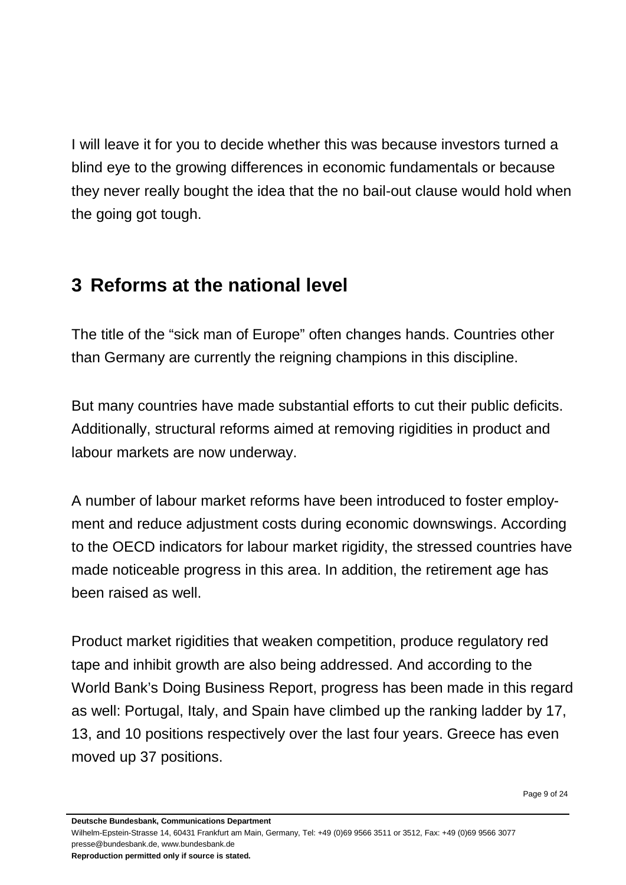I will leave it for you to decide whether this was because investors turned a blind eye to the growing differences in economic fundamentals or because they never really bought the idea that the no bail-out clause would hold when the going got tough.

### <span id="page-8-0"></span>**3 Reforms at the national level**

The title of the "sick man of Europe" often changes hands. Countries other than Germany are currently the reigning champions in this discipline.

But many countries have made substantial efforts to cut their public deficits. Additionally, structural reforms aimed at removing rigidities in product and labour markets are now underway.

A number of labour market reforms have been introduced to foster employment and reduce adjustment costs during economic downswings. According to the OECD indicators for labour market rigidity, the stressed countries have made noticeable progress in this area. In addition, the retirement age has been raised as well.

Product market rigidities that weaken competition, produce regulatory red tape and inhibit growth are also being addressed. And according to the World Bank's Doing Business Report, progress has been made in this regard as well: Portugal, Italy, and Spain have climbed up the ranking ladder by 17, 13, and 10 positions respectively over the last four years. Greece has even moved up 37 positions.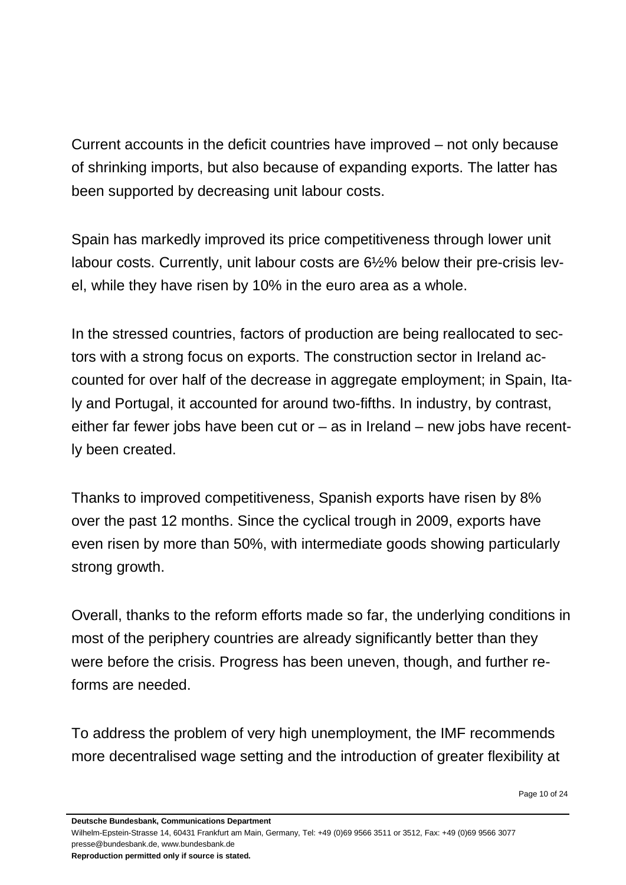Current accounts in the deficit countries have improved – not only because of shrinking imports, but also because of expanding exports. The latter has been supported by decreasing unit labour costs.

Spain has markedly improved its price competitiveness through lower unit labour costs. Currently, unit labour costs are 6½% below their pre-crisis level, while they have risen by 10% in the euro area as a whole.

In the stressed countries, factors of production are being reallocated to sectors with a strong focus on exports. The construction sector in Ireland accounted for over half of the decrease in aggregate employment; in Spain, Italy and Portugal, it accounted for around two-fifths. In industry, by contrast, either far fewer jobs have been cut or – as in Ireland – new jobs have recently been created.

Thanks to improved competitiveness, Spanish exports have risen by 8% over the past 12 months. Since the cyclical trough in 2009, exports have even risen by more than 50%, with intermediate goods showing particularly strong growth.

Overall, thanks to the reform efforts made so far, the underlying conditions in most of the periphery countries are already significantly better than they were before the crisis. Progress has been uneven, though, and further reforms are needed.

To address the problem of very high unemployment, the IMF recommends more decentralised wage setting and the introduction of greater flexibility at

**Deutsche Bundesbank, Communications Department**

Wilhelm-Epstein-Strasse 14, 60431 Frankfurt am Main, Germany, Tel: +49 (0)69 9566 3511 or 3512, Fax: +49 (0)69 9566 3077 presse@bundesbank.de, www.bundesbank.de

**Reproduction permitted only if source is stated.**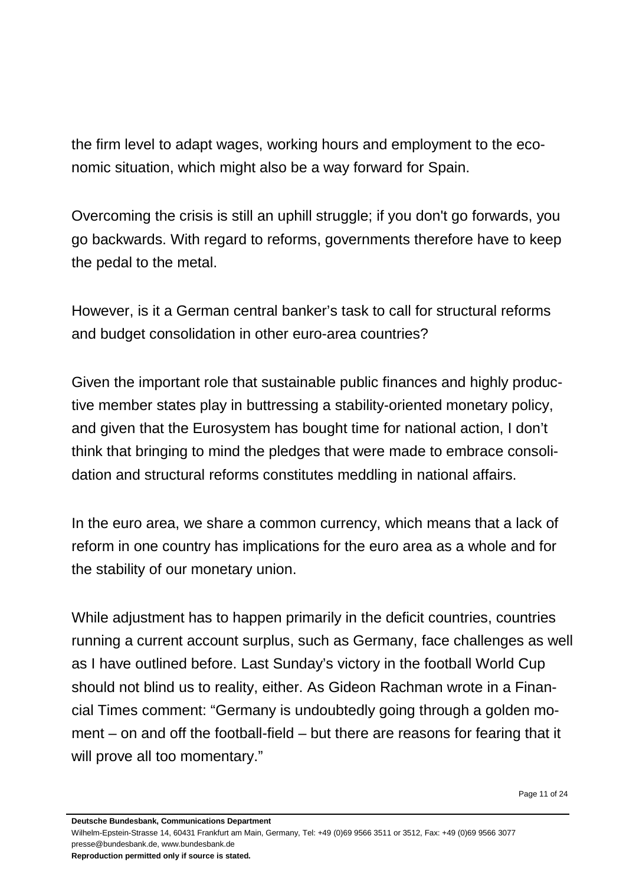the firm level to adapt wages, working hours and employment to the economic situation, which might also be a way forward for Spain.

Overcoming the crisis is still an uphill struggle; if [you](http://www.dict.cc/englisch-deutsch/you.html) [don't](http://www.dict.cc/englisch-deutsch/don%27t.html) [go](http://www.dict.cc/englisch-deutsch/go.html) [forwards,](http://www.dict.cc/englisch-deutsch/forward.html) [you](http://www.dict.cc/englisch-deutsch/you.html) [go](http://www.dict.cc/englisch-deutsch/go.html) [backwards.](http://www.dict.cc/englisch-deutsch/backwards..html) With regard to reforms, governments therefore have to keep the pedal to the metal.

However, is it a German central banker's task to call for structural reforms and budget consolidation in other euro-area countries?

Given the important role that sustainable public finances and highly productive member states play in buttressing a stability-oriented monetary policy, and given that the Eurosystem has bought time for national action, I don't think that bringing to mind the pledges that were made to embrace consolidation and structural reforms constitutes meddling in national affairs.

In the euro area, we share a common currency, which means that a lack of reform in one country has implications for the euro area as a whole and for the stability of our monetary union.

While adjustment has to happen primarily in the deficit countries, countries running a current account surplus, such as Germany, face challenges as well as I have outlined before. Last Sunday's victory in the football World Cup should not blind us to reality, either. As Gideon Rachman wrote in a Financial Times comment: "Germany is undoubtedly going through a golden moment – on and off the football-field – but there are reasons for fearing that it will prove all too momentary."

Page 11 of 24

**Deutsche Bundesbank, Communications Department**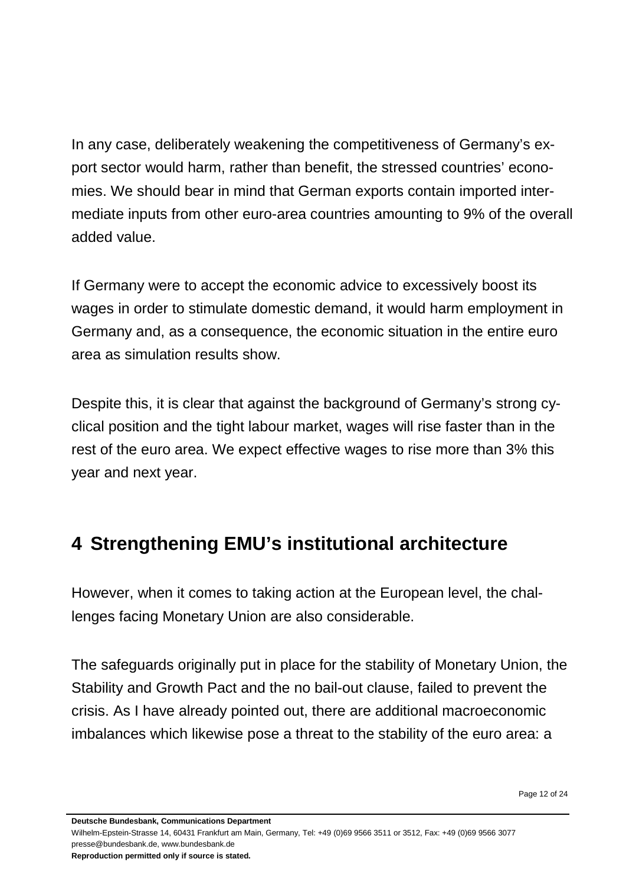In any case, deliberately weakening the competitiveness of Germany's export sector would harm, rather than benefit, the stressed countries' economies. We should bear in mind that German exports contain imported intermediate inputs from other euro-area countries amounting to 9% of the overall added value.

If Germany were to accept the economic advice to excessively boost its wages in order to stimulate domestic demand, it would harm employment in Germany and, as a consequence, the economic situation in the entire euro area as simulation results show.

Despite this, it is clear that against the background of Germany's strong cyclical position and the tight labour market, wages will rise faster than in the rest of the euro area. We expect effective wages to rise more than 3% this year and next year.

## <span id="page-11-0"></span>**4 Strengthening EMU's institutional architecture**

However, when it comes to taking action at the European level, the challenges facing Monetary Union are also considerable.

The safeguards originally put in place for the stability of Monetary Union, the Stability and Growth Pact and the no bail-out clause, failed to prevent the crisis. As I have already pointed out, there are additional macroeconomic imbalances which likewise pose a threat to the stability of the euro area: a

**Deutsche Bundesbank, Communications Department**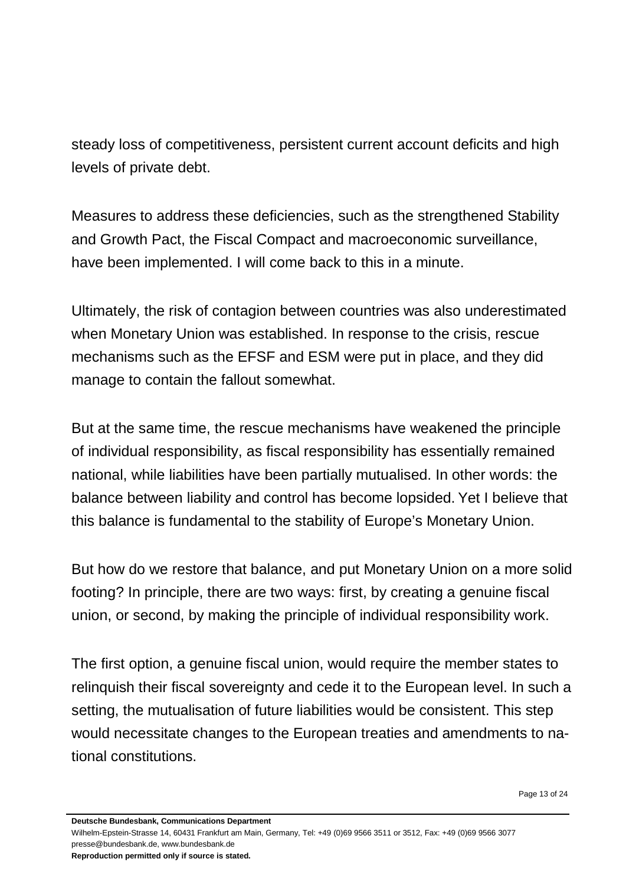steady loss of competitiveness, persistent current account deficits and high levels of private debt.

Measures to address these deficiencies, such as the strengthened Stability and Growth Pact, the Fiscal Compact and macroeconomic surveillance, have been implemented. I will come back to this in a minute.

Ultimately, the risk of contagion between countries was also underestimated when Monetary Union was established. In response to the crisis, rescue mechanisms such as the EFSF and ESM were put in place, and they did manage to contain the fallout somewhat.

But at the same time, the rescue mechanisms have weakened the principle of individual responsibility, as fiscal responsibility has essentially remained national, while liabilities have been partially mutualised. In other words: the balance between liability and control has become lopsided. Yet I believe that this balance is fundamental to the stability of Europe's Monetary Union.

But how do we restore that balance, and put Monetary Union on a more solid footing? In principle, there are two ways: first, by creating a genuine fiscal union, or second, by making the principle of individual responsibility work.

The first option, a genuine fiscal union, would require the member states to relinquish their fiscal sovereignty and cede it to the European level. In such a setting, the mutualisation of future liabilities would be consistent. This step would necessitate changes to the European treaties and amendments to national constitutions.

Page 13 of 24

**Deutsche Bundesbank, Communications Department**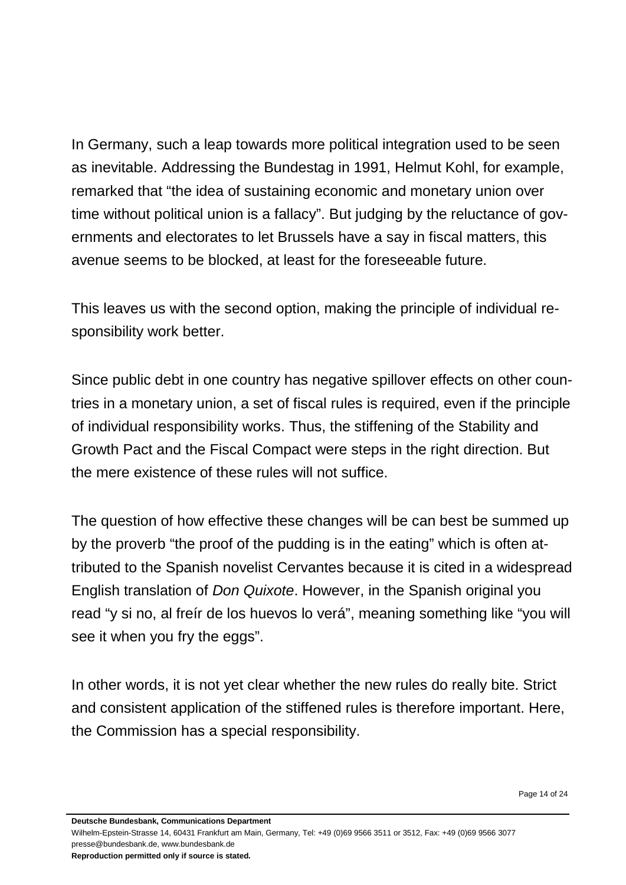In Germany, such a leap towards more political integration used to be seen as inevitable. Addressing the Bundestag in 1991, Helmut Kohl, for example, remarked that "the idea of sustaining economic and monetary union over time without political union is a fallacy". But judging by the reluctance of governments and electorates to let Brussels have a say in fiscal matters, this avenue seems to be blocked, at least for the foreseeable future.

This leaves us with the second option, making the principle of individual responsibility work better.

Since public debt in one country has negative spillover effects on other countries in a monetary union, a set of fiscal rules is required, even if the principle of individual responsibility works. Thus, the stiffening of the Stability and Growth Pact and the Fiscal Compact were steps in the right direction. But the mere existence of these rules will not suffice.

The question of how effective these changes will be can best be summed up by the proverb "the proof of the pudding is in the eating" which is often attributed to the Spanish novelist Cervantes because it is cited in a widespread English translation of *Don Quixote*. However, in the Spanish original you read "y si no, al freír de los huevos lo verá", meaning something like "you will see it when you fry the eggs".

In other words, it is not yet clear whether the new rules do really bite. Strict and consistent application of the stiffened rules is therefore important. Here, the Commission has a special responsibility.

**Deutsche Bundesbank, Communications Department**

Wilhelm-Epstein-Strasse 14, 60431 Frankfurt am Main, Germany, Tel: +49 (0)69 9566 3511 or 3512, Fax: +49 (0)69 9566 3077 presse@bundesbank.de, www.bundesbank.de

**Reproduction permitted only if source is stated.**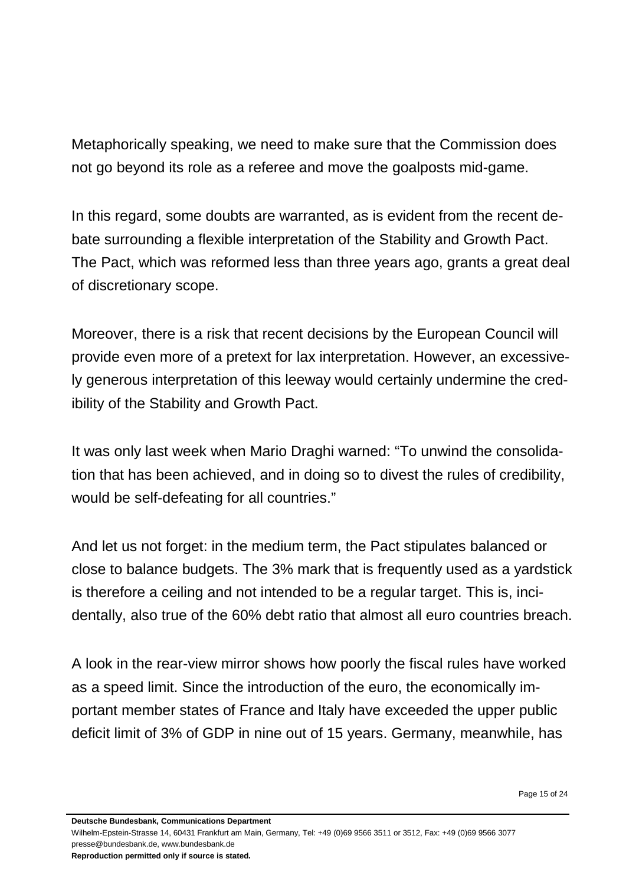Metaphorically speaking, we need to make sure that the Commission does not go beyond its role as a referee and move the goalposts mid-game.

In this regard, some doubts are warranted, as is evident from the recent debate surrounding a flexible interpretation of the Stability and Growth Pact. The Pact, which was reformed less than three years ago, grants a great deal of discretionary scope.

Moreover, there is a risk that recent decisions by the European Council will provide even more of a pretext for lax interpretation. However, an excessively generous interpretation of this leeway would certainly undermine the credibility of the Stability and Growth Pact.

It was only last week when Mario Draghi warned: "To unwind the consolidation that has been achieved, and in doing so to divest the rules of credibility, would be self-defeating for all countries."

And let us not forget: in the medium term, the Pact stipulates balanced or close to balance budgets. The 3% mark that is frequently used as a yardstick is therefore a ceiling and not intended to be a regular target. This is, incidentally, also true of the 60% debt ratio that almost all euro countries breach.

A look in the rear-view mirror shows how poorly the fiscal rules have worked as a speed limit. Since the introduction of the euro, the economically important member states of France and Italy have exceeded the upper public deficit limit of 3% of GDP in nine out of 15 years. Germany, meanwhile, has

Page 15 of 24

**Deutsche Bundesbank, Communications Department**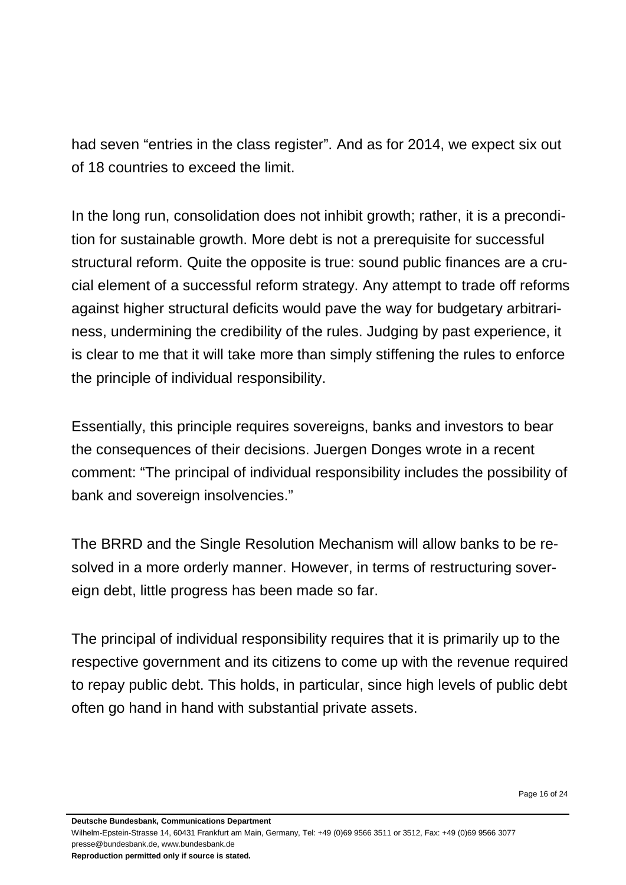had seven "entries in the class register". And as for 2014, we expect six out of 18 countries to exceed the limit.

In the long run, consolidation does not inhibit growth; rather, it is a precondition for sustainable growth. More debt is not a prerequisite for successful structural reform. Quite the opposite is true: sound public finances are a crucial element of a successful reform strategy. Any attempt to trade off reforms against higher structural deficits would pave the way for budgetary arbitrariness, undermining the credibility of the rules. Judging by past experience, it is clear to me that it will take more than simply stiffening the rules to enforce the principle of individual responsibility.

Essentially, this principle requires sovereigns, banks and investors to bear the consequences of their decisions. Juergen Donges wrote in a recent comment: "The principal of individual responsibility includes the possibility of bank and sovereign insolvencies."

The BRRD and the Single Resolution Mechanism will allow banks to be resolved in a more orderly manner. However, in terms of restructuring sovereign debt, little progress has been made so far.

The principal of individual responsibility requires that it is primarily up to the respective government and its citizens to come up with the revenue required to repay public debt. This holds, in particular, since high levels of public debt often go hand in hand with substantial private assets.

Page 16 of 24

**Deutsche Bundesbank, Communications Department**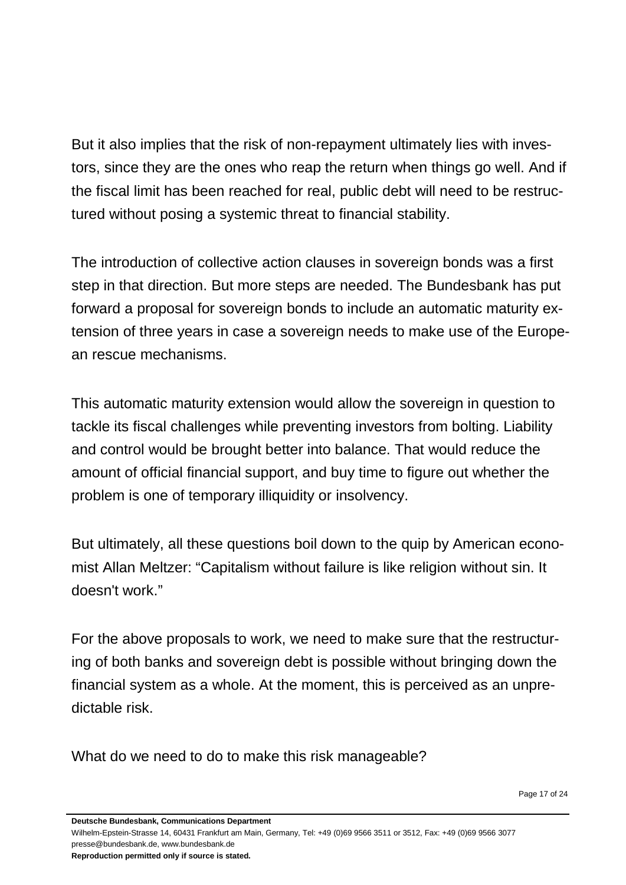But it also implies that the risk of non-repayment ultimately lies with investors, since they are the ones who reap the return when things go well. And if the fiscal limit has been reached for real, public debt will need to be restructured without posing a systemic threat to financial stability.

The introduction of collective action clauses in sovereign bonds was a first step in that direction. But more steps are needed. The Bundesbank has put forward a proposal for sovereign bonds to include an automatic maturity extension of three years in case a sovereign needs to make use of the European rescue mechanisms.

This automatic maturity extension would allow the sovereign in question to tackle its fiscal challenges while preventing investors from bolting. Liability and control would be brought better into balance. That would reduce the amount of official financial support, and buy time to figure out whether the problem is one of temporary illiquidity or insolvency.

But ultimately, all these questions boil down to the quip by American economist Allan Meltzer: "Capitalism without failure is like religion without sin. It doesn't work."

For the above proposals to work, we need to make sure that the restructuring of both banks and sovereign debt is possible without bringing down the financial system as a whole. At the moment, this is perceived as an unpredictable risk.

What do we need to do to make this risk manageable?

**Deutsche Bundesbank, Communications Department**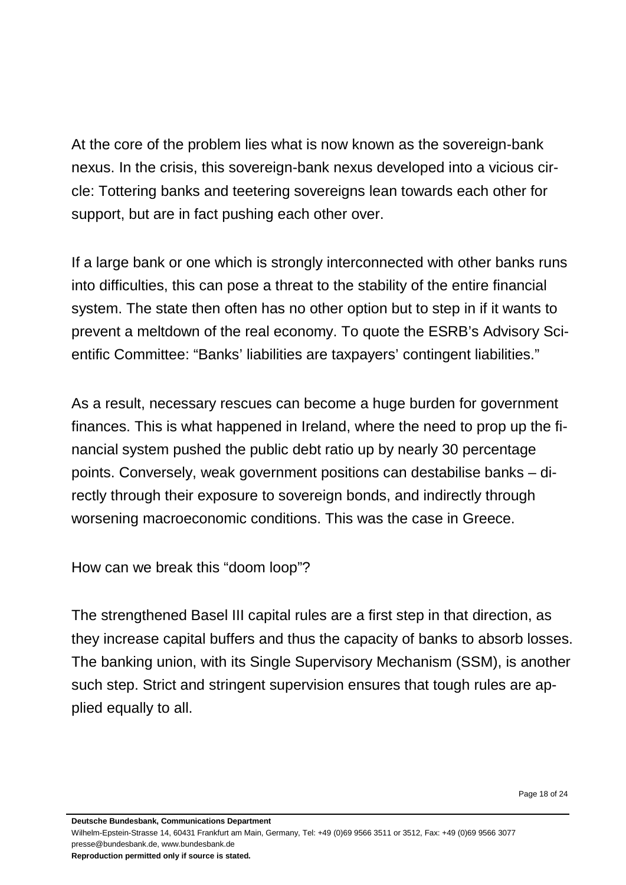At the core of the problem lies what is now known as the sovereign-bank nexus. In the crisis, this sovereign-bank nexus developed into a vicious circle: Tottering banks and teetering sovereigns lean towards each other for support, but are in fact pushing each other over.

If a large bank or one which is strongly interconnected with other banks runs into difficulties, this can pose a threat to the stability of the entire financial system. The state then often has no other option but to step in if it wants to prevent a meltdown of the real economy. To quote the ESRB's Advisory Scientific Committee: "Banks' liabilities are taxpayers' contingent liabilities."

As a result, necessary rescues can become a huge burden for government finances. This is what happened in Ireland, where the need to prop up the financial system pushed the public debt ratio up by nearly 30 percentage points. Conversely, weak government positions can destabilise banks – directly through their exposure to sovereign bonds, and indirectly through worsening macroeconomic conditions. This was the case in Greece.

How can we break this "doom loop"?

The strengthened Basel III capital rules are a first step in that direction, as they increase capital buffers and thus the capacity of banks to absorb losses. The banking union, with its Single Supervisory Mechanism (SSM), is another such step. Strict and stringent supervision ensures that tough rules are applied equally to all.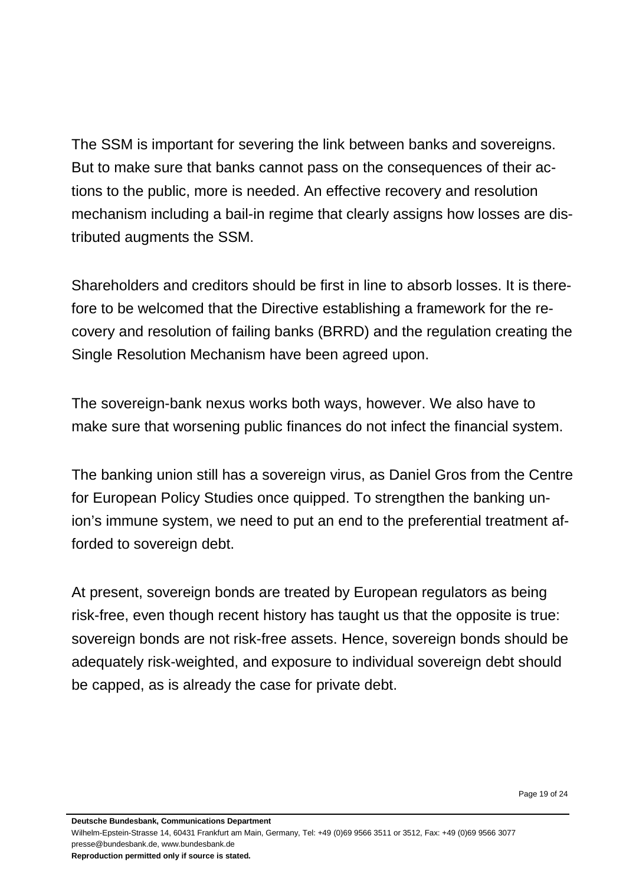The SSM is important for severing the link between banks and sovereigns. But to make sure that banks cannot pass on the consequences of their actions to the public, more is needed. An effective recovery and resolution mechanism including a bail-in regime that clearly assigns how losses are distributed augments the SSM.

Shareholders and creditors should be first in line to absorb losses. It is therefore to be welcomed that the Directive establishing a framework for the recovery and resolution of failing banks (BRRD) and the regulation creating the Single Resolution Mechanism have been agreed upon.

The sovereign-bank nexus works both ways, however. We also have to make sure that worsening public finances do not infect the financial system.

The banking union still has a sovereign virus, as Daniel Gros from the Centre for European Policy Studies once quipped. To strengthen the banking union's immune system, we need to put an end to the preferential treatment afforded to sovereign debt.

At present, sovereign bonds are treated by European regulators as being risk-free, even though recent history has taught us that the opposite is true: sovereign bonds are not risk-free assets. Hence, sovereign bonds should be adequately risk-weighted, and exposure to individual sovereign debt should be capped, as is already the case for private debt.

Page 19 of 24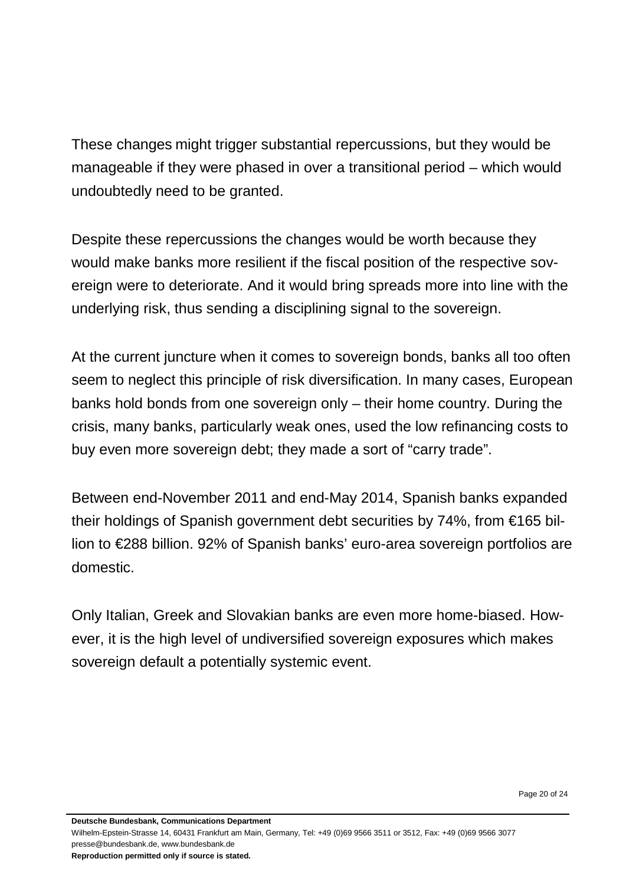These changes might trigger substantial repercussions, but they would be manageable if they were phased in over a transitional period – which would undoubtedly need to be granted.

Despite these repercussions the changes would be worth because they would make banks more resilient if the fiscal position of the respective sovereign were to deteriorate. And it would bring spreads more into line with the underlying risk, thus sending a disciplining signal to the sovereign.

At the current juncture when it comes to sovereign bonds, banks all too often seem to neglect this principle of risk diversification. In many cases, European banks hold bonds from one sovereign only – their home country. During the crisis, many banks, particularly weak ones, used the low refinancing costs to buy even more sovereign debt; they made a sort of "carry trade".

Between end-November 2011 and end-May 2014, Spanish banks expanded their holdings of Spanish government debt securities by 74%, from €165 billion to €288 billion. 92% of Spanish banks' euro-area sovereign portfolios are domestic.

Only Italian, Greek and Slovakian banks are even more home-biased. However, it is the high level of undiversified sovereign exposures which makes sovereign default a potentially systemic event.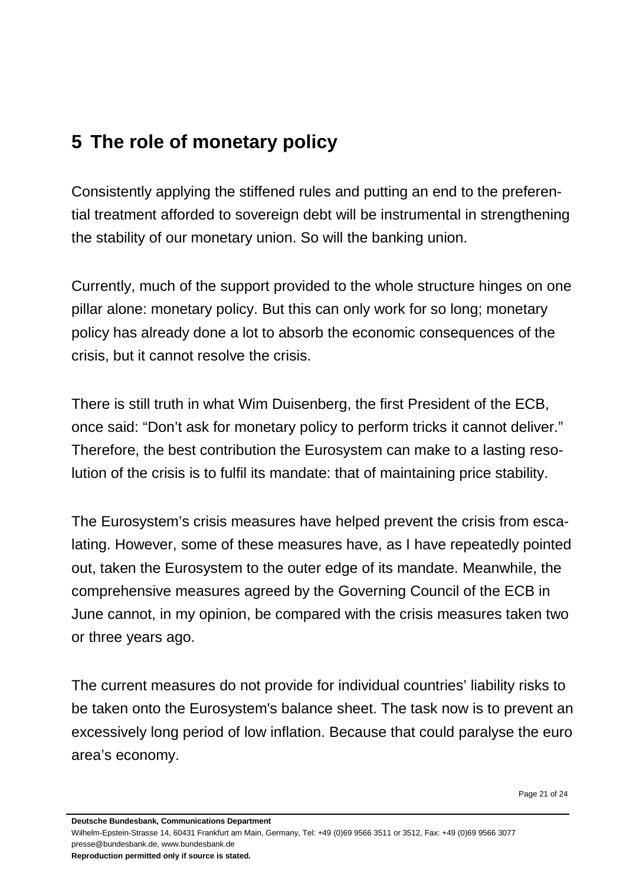## <span id="page-20-0"></span>**5 The role of monetary policy**

Consistently applying the stiffened rules and putting an end to the preferential treatment afforded to sovereign debt will be instrumental in strengthening the stability of our monetary union. So will the banking union.

Currently, much of the support provided to the whole structure hinges on one pillar alone: monetary policy. But this can only work for so long; monetary policy has already done a lot to absorb the economic consequences of the crisis, but it cannot resolve the crisis.

There is still truth in what Wim Duisenberg, the first President of the ECB, once said: "Don't ask for monetary policy to perform tricks it cannot deliver." Therefore, the best contribution the Eurosystem can make to a lasting resolution of the crisis is to fulfil its mandate: that of maintaining price stability.

The Eurosystem's crisis measures have helped prevent the crisis from escalating. However, some of these measures have, as I have repeatedly pointed out, taken the Eurosystem to the outer edge of its mandate. Meanwhile, the comprehensive measures agreed by the Governing Council of the ECB in June cannot, in my opinion, be compared with the crisis measures taken two or three years ago.

The current measures do not provide for individual countries' liability risks to be taken onto the Eurosystem's balance sheet. The task now is to prevent an excessively long period of low inflation. Because that could paralyse the euro area's economy.

Page 21 of 24

**Deutsche Bundesbank, Communications Department**

Wilhelm-Epstein-Strasse 14, 60431 Frankfurt am Main, Germany, Tel: +49 (0)69 9566 3511 or 3512, Fax: +49 (0)69 9566 3077 presse@bundesbank.de, www.bundesbank.de **Reproduction permitted only if source is stated.**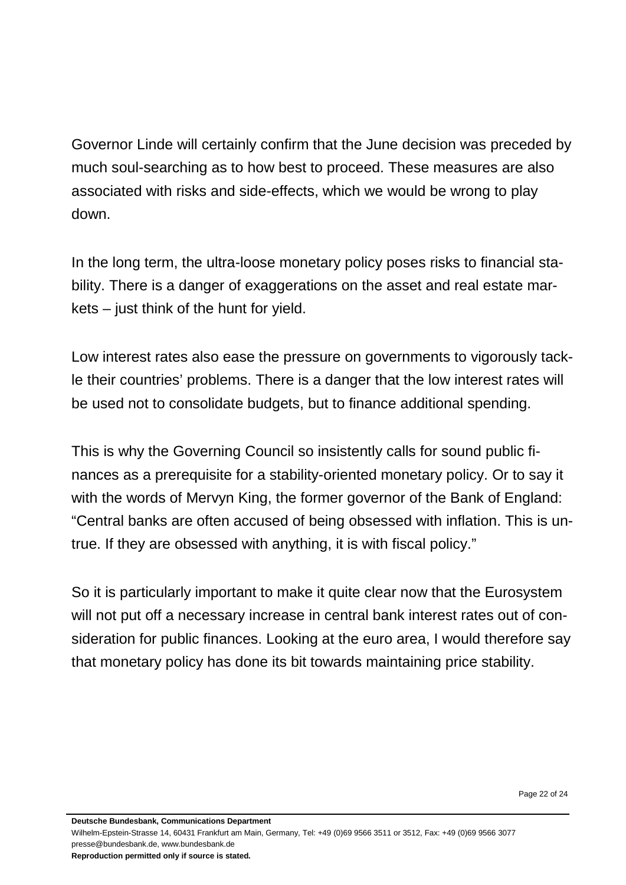Governor Linde will certainly confirm that the June decision was preceded by much soul-searching as to how best to proceed. These measures are also associated with risks and side-effects, which we would be wrong to play down.

In the long term, the ultra-loose monetary policy poses risks to financial stability. There is a danger of exaggerations on the asset and real estate markets – just think of the hunt for yield.

Low interest rates also ease the pressure on governments to vigorously tackle their countries' problems. There is a danger that the low interest rates will be used not to consolidate budgets, but to finance additional spending.

This is why the Governing Council so insistently calls for sound public finances as a prerequisite for a stability-oriented monetary policy. Or to say it with the words of Mervyn King, the former governor of the Bank of England: "Central banks are often accused of being obsessed with inflation. This is untrue. If they are obsessed with anything, it is with fiscal policy."

So it is particularly important to make it quite clear now that the Eurosystem will not put off a necessary increase in central bank interest rates out of consideration for public finances. Looking at the euro area, I would therefore say that monetary policy has done its bit towards maintaining price stability.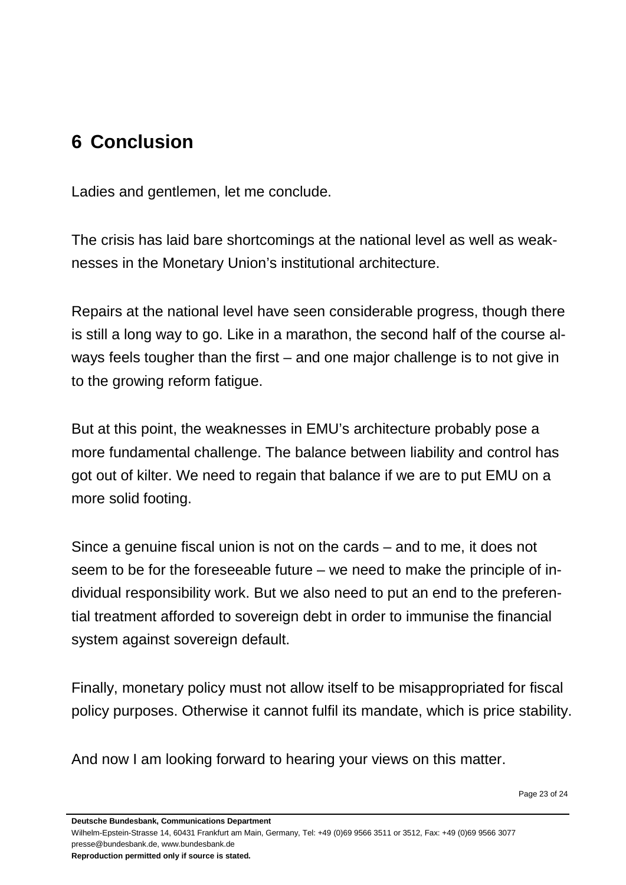# <span id="page-22-0"></span>**6 Conclusion**

Ladies and gentlemen, let me conclude.

The crisis has laid bare shortcomings at the national level as well as weaknesses in the Monetary Union's institutional architecture.

Repairs at the national level have seen considerable progress, though there is still a long way to go. Like in a marathon, the second half of the course always feels tougher than the first – and one major challenge is to not give in to the growing reform fatigue.

But at this point, the weaknesses in EMU's architecture probably pose a more fundamental challenge. The balance between liability and control has got out of kilter. We need to regain that balance if we are to put EMU on a more solid footing.

Since a genuine fiscal union is not on the cards – and to me, it does not seem to be for the foreseeable future – we need to make the principle of individual responsibility work. But we also need to put an end to the preferential treatment afforded to sovereign debt in order to immunise the financial system against sovereign default.

Finally, monetary policy must not allow itself to be misappropriated for fiscal policy purposes. Otherwise it cannot fulfil its mandate, which is price stability.

And now I am looking forward to hearing your views on this matter.

**Deutsche Bundesbank, Communications Department**

Wilhelm-Epstein-Strasse 14, 60431 Frankfurt am Main, Germany, Tel: +49 (0)69 9566 3511 or 3512, Fax: +49 (0)69 9566 3077 presse@bundesbank.de, www.bundesbank.de

**Reproduction permitted only if source is stated.**